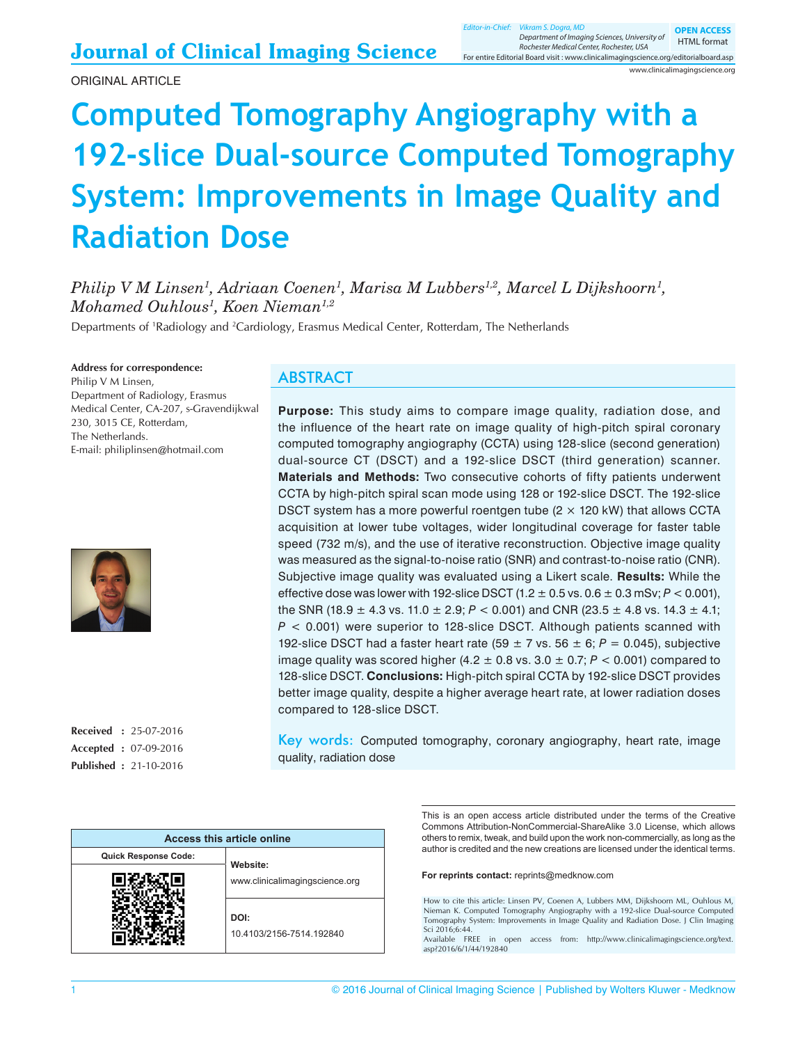**OPEN ACCESS** HTML format

For entire Editorial Board visit : www.clinicalimagingscience.org/editorialboard.asp Rochester Medical Center, Rochester, USA

www.clinicalimagingscience.org

# **Computed Tomography Angiography with a 192-slice Dual-source Computed Tomography System: Improvements in Image Quality and Radiation Dose**

*Philip V M Linsen<sup>1</sup> , Adriaan Coenen<sup>1</sup> , Marisa M Lubbers1,2, Marcel L Dijkshoorn<sup>1</sup> , Mohamed Ouhlous<sup>1</sup> , Koen Nieman1,2*

Departments of <sup>1</sup>Radiology and <sup>2</sup>Cardiology, Erasmus Medical Center, Rotterdam, The Netherlands

**Address for correspondence:** Philip V M Linsen, Department of Radiology, Erasmus Medical Center, CA‑207, s‑Gravendijkwal 230, 3015 CE, Rotterdam, The Netherlands. E‑mail: philiplinsen@hotmail.com



**Received :** 25-07-2016 **Accepted :** 07-09-2016 **Published :** 21-10-2016

#### ABSTRACT

**Purpose:** This study aims to compare image quality, radiation dose, and the influence of the heart rate on image quality of high-pitch spiral coronary computed tomography angiography (CCTA) using 128‑slice (second generation) dual-source CT (DSCT) and a 192-slice DSCT (third generation) scanner. **Materials and Methods:** Two consecutive cohorts of fifty patients underwent CCTA by high‑pitch spiral scan mode using 128 or 192‑slice DSCT. The 192‑slice DSCT system has a more powerful roentgen tube  $(2 \times 120 \text{ kW})$  that allows CCTA acquisition at lower tube voltages, wider longitudinal coverage for faster table speed (732 m/s), and the use of iterative reconstruction. Objective image quality was measured as the signal-to-noise ratio (SNR) and contrast-to-noise ratio (CNR). Subjective image quality was evaluated using a Likert scale. **Results:** While the effective dose was lower with 192-slice DSCT  $(1.2 \pm 0.5 \text{ vs. } 0.6 \pm 0.3 \text{ mSv}; P < 0.001)$ , the SNR (18.9  $\pm$  4.3 vs. 11.0  $\pm$  2.9; P < 0.001) and CNR (23.5  $\pm$  4.8 vs. 14.3  $\pm$  4.1; *P* < 0.001) were superior to 128‑slice DSCT. Although patients scanned with 192-slice DSCT had a faster heart rate  $(59 \pm 7 \text{ vs. } 56 \pm 6; P = 0.045)$ , subjective image quality was scored higher  $(4.2 \pm 0.8 \text{ vs. } 3.0 \pm 0.7; P < 0.001)$  compared to 128‑slice DSCT. **Conclusions:** High‑pitch spiral CCTA by 192‑slice DSCT provides better image quality, despite a higher average heart rate, at lower radiation doses compared to 128‑slice DSCT.

Key words: Computed tomography, coronary angiography, heart rate, image quality, radiation dose

| Access this article online  |                                  |  |
|-----------------------------|----------------------------------|--|
| <b>Quick Response Code:</b> | Website:                         |  |
|                             | www.clinicalimagingscience.org   |  |
|                             | DOI:<br>10.4103/2156-7514.192840 |  |

This is an open access article distributed under the terms of the Creative Commons Attribution‑NonCommercial‑ShareAlike 3.0 License, which allows others to remix, tweak, and build upon the work non‑commercially, as long as the author is credited and the new creations are licensed under the identical terms.

**For reprints contact:** reprints@medknow.com

How to cite this article: Linsen PV, Coenen A, Lubbers MM, Dijkshoorn ML, Ouhlous M, Nieman K. Computed Tomography Angiography with a 192-slice Dual-source Computed Tomography System: Improvements in Image Quality and Radiation Dose. J Clin Imaging Sci 2016;6:44.

Available FREE in open access from: http://www.clinicalimagingscience.org/text. asp?2016/6/1/44/192840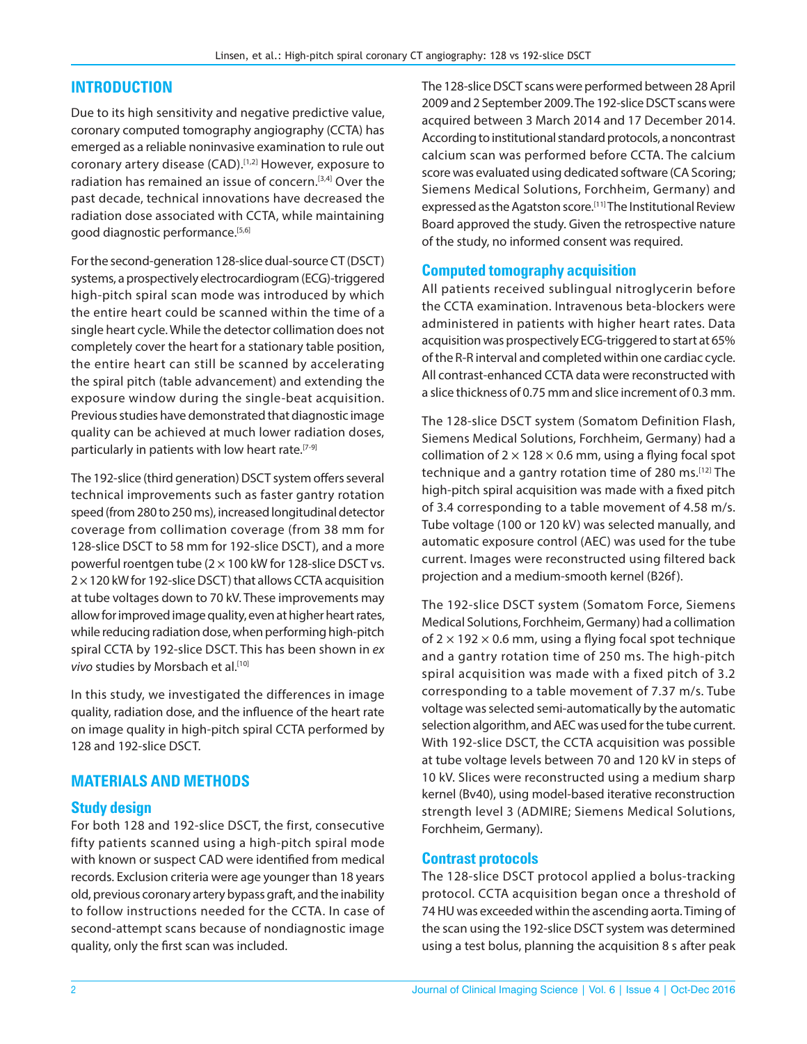## **INTRODUCTION**

Due to its high sensitivity and negative predictive value, coronary computed tomography angiography (CCTA) has emerged as a reliable noninvasive examination to rule out coronary artery disease (CAD).<sup>[1,2]</sup> However, exposure to radiation has remained an issue of concern.[3,4] Over the past decade, technical innovations have decreased the radiation dose associated with CCTA, while maintaining good diagnostic performance.<sup>[5,6]</sup>

For the second-generation 128-slice dual-source CT (DSCT) systems, a prospectively electrocardiogram (ECG)‑triggered high-pitch spiral scan mode was introduced by which the entire heart could be scanned within the time of a single heart cycle. While the detector collimation does not completely cover the heart for a stationary table position, the entire heart can still be scanned by accelerating the spiral pitch (table advancement) and extending the exposure window during the single‑beat acquisition. Previous studies have demonstrated that diagnostic image quality can be achieved at much lower radiation doses, particularly in patients with low heart rate.<sup>[7-9]</sup>

The 192‑slice (third generation) DSCT system offers several technical improvements such as faster gantry rotation speed (from 280 to 250 ms), increased longitudinal detector coverage from collimation coverage (from 38 mm for 128-slice DSCT to 58 mm for 192-slice DSCT), and a more powerful roentgen tube ( $2 \times 100$  kW for 128-slice DSCT vs.  $2 \times 120$  kW for 192-slice DSCT) that allows CCTA acquisition at tube voltages down to 70 kV. These improvements may allow for improved image quality, even at higher heart rates, while reducing radiation dose, when performing high-pitch spiral CCTA by 192‑slice DSCT. This has been shown in *ex* vivo studies by Morsbach et al.<sup>[10]</sup>

In this study, we investigated the differences in image quality, radiation dose, and the influence of the heart rate on image quality in high-pitch spiral CCTA performed by 128 and 192‑slice DSCT.

#### **MATERIALS AND METHODS**

#### **Study design**

For both 128 and 192‑slice DSCT, the first, consecutive fifty patients scanned using a high‑pitch spiral mode with known or suspect CAD were identified from medical records. Exclusion criteria were age younger than 18 years old, previous coronary artery bypass graft, and the inability to follow instructions needed for the CCTA. In case of second‑attempt scans because of nondiagnostic image quality, only the first scan was included.

The 128‑slice DSCT scans were performed between 28 April 2009 and 2 September 2009. The 192‑slice DSCT scans were acquired between 3 March 2014 and 17 December 2014. According to institutional standard protocols, a noncontrast calcium scan was performed before CCTA. The calcium score was evaluated using dedicated software (CA Scoring; Siemens Medical Solutions, Forchheim, Germany) and expressed as the Agatston score.<sup>[11]</sup> The Institutional Review Board approved the study. Given the retrospective nature of the study, no informed consent was required.

#### **Computed tomography acquisition**

All patients received sublingual nitroglycerin before the CCTA examination. Intravenous beta‑blockers were administered in patients with higher heart rates. Data acquisition was prospectively ECG‑triggered to start at 65% of the R‑R interval and completed within one cardiac cycle. All contrast‑enhanced CCTA data were reconstructed with a slice thickness of 0.75 mm and slice increment of 0.3 mm.

The 128‑slice DSCT system (Somatom Definition Flash, Siemens Medical Solutions, Forchheim, Germany) had a collimation of  $2 \times 128 \times 0.6$  mm, using a flying focal spot technique and a gantry rotation time of 280 ms.[12] The high-pitch spiral acquisition was made with a fixed pitch of 3.4 corresponding to a table movement of 4.58 m/s. Tube voltage (100 or 120 kV) was selected manually, and automatic exposure control (AEC) was used for the tube current. Images were reconstructed using filtered back projection and a medium‑smooth kernel (B26f).

The 192‑slice DSCT system (Somatom Force, Siemens Medical Solutions, Forchheim, Germany) had a collimation of  $2 \times 192 \times 0.6$  mm, using a flying focal spot technique and a gantry rotation time of 250 ms. The high-pitch spiral acquisition was made with a fixed pitch of 3.2 corresponding to a table movement of 7.37 m/s. Tube voltage was selected semi‑automatically by the automatic selection algorithm, and AEC was used for the tube current. With 192‑slice DSCT, the CCTA acquisition was possible at tube voltage levels between 70 and 120 kV in steps of 10 kV. Slices were reconstructed using a medium sharp kernel (Bv40), using model‑based iterative reconstruction strength level 3 (ADMIRE; Siemens Medical Solutions, Forchheim, Germany).

#### **Contrast protocols**

The 128-slice DSCT protocol applied a bolus-tracking protocol. CCTA acquisition began once a threshold of 74 HU was exceeded within the ascending aorta. Timing of the scan using the 192‑slice DSCT system was determined using a test bolus, planning the acquisition 8 s after peak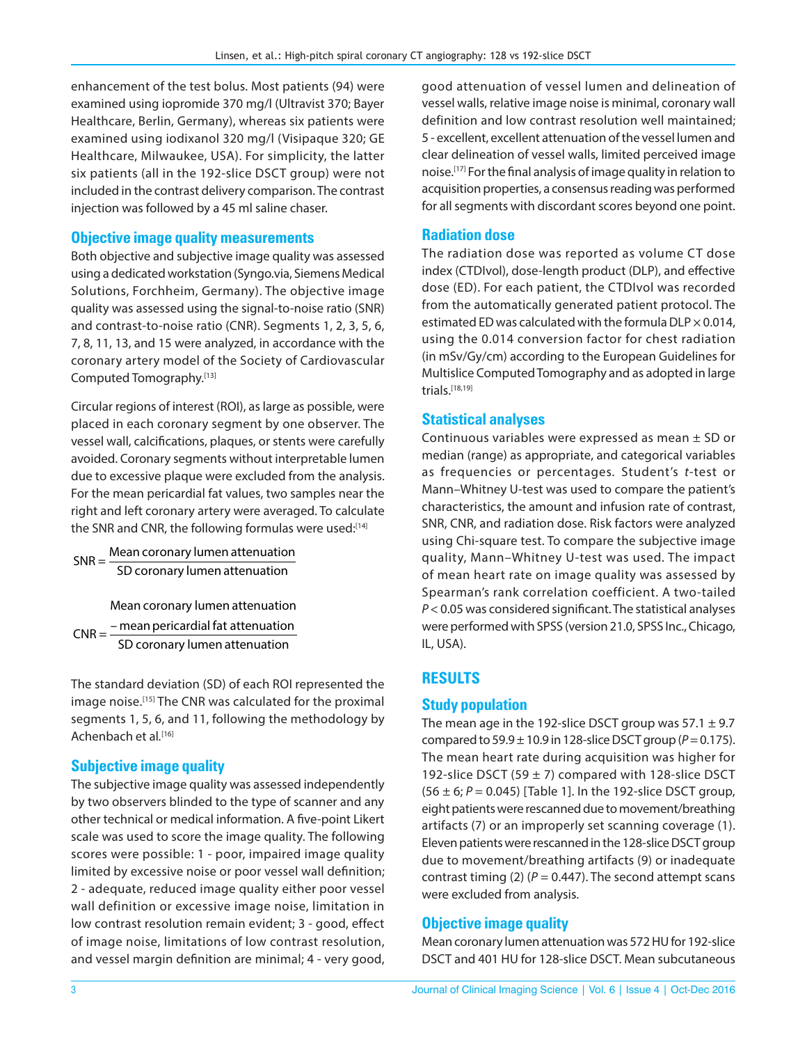enhancement of the test bolus. Most patients (94) were examined using iopromide 370 mg/l (Ultravist 370; Bayer Healthcare, Berlin, Germany), whereas six patients were examined using iodixanol 320 mg/l (Visipaque 320; GE Healthcare, Milwaukee, USA). For simplicity, the latter six patients (all in the 192‑slice DSCT group) were not included in the contrast delivery comparison. The contrast injection was followed by a 45 ml saline chaser.

#### **Objective image quality measurements**

Both objective and subjective image quality was assessed using a dedicated workstation (Syngo.via, Siemens Medical Solutions, Forchheim, Germany). The objective image quality was assessed using the signal‑to‑noise ratio (SNR) and contrast-to-noise ratio (CNR). Segments 1, 2, 3, 5, 6, 7, 8, 11, 13, and 15 were analyzed, in accordance with the coronary artery model of the Society of Cardiovascular Computed Tomography.[13]

Circular regions of interest (ROI), as large as possible, were placed in each coronary segment by one observer. The vessel wall, calcifications, plaques, or stents were carefully avoided. Coronary segments without interpretable lumen due to excessive plaque were excluded from the analysis. For the mean pericardial fat values, two samples near the right and left coronary artery were averaged. To calculate the SNR and CNR, the following formulas were used:[14]

SNR = Mean coronary lumen attenuatio<sup>n</sup> SD coronary lumen attenuation

Mean coronary lumen attenuation  $CNR = \frac{1}{2}$  – mean pericardial fat attenuation SD coronary lumen attenuation

The standard deviation (SD) of each ROI represented the image noise.<sup>[15]</sup> The CNR was calculated for the proximal segments 1, 5, 6, and 11, following the methodology by Achenbach et al.<sup>[16]</sup>

#### **Subjective image quality**

The subjective image quality was assessed independently by two observers blinded to the type of scanner and any other technical or medical information. A five-point Likert scale was used to score the image quality. The following scores were possible: 1 ‑ poor, impaired image quality limited by excessive noise or poor vessel wall definition; 2 ‑ adequate, reduced image quality either poor vessel wall definition or excessive image noise, limitation in low contrast resolution remain evident; 3 ‑ good, effect of image noise, limitations of low contrast resolution, and vessel margin definition are minimal; 4 ‑ very good,

good attenuation of vessel lumen and delineation of vessel walls, relative image noise is minimal, coronary wall definition and low contrast resolution well maintained; 5 ‑ excellent, excellent attenuation of the vessel lumen and clear delineation of vessel walls, limited perceived image noise.[17] For the final analysis of image quality in relation to acquisition properties, a consensus reading was performed for all segments with discordant scores beyond one point.

#### **Radiation dose**

The radiation dose was reported as volume CT dose index (CTDIvol), dose‑length product (DLP), and effective dose (ED). For each patient, the CTDIvol was recorded from the automatically generated patient protocol. The estimated ED was calculated with the formula DLP  $\times$  0.014, using the 0.014 conversion factor for chest radiation (in mSv/Gy/cm) according to the European Guidelines for Multislice Computed Tomography and as adopted in large trials.[18,19]

## **Statistical analyses**

Continuous variables were expressed as mean ± SD or median (range) as appropriate, and categorical variables as frequencies or percentages. Student's *t*‑test or Mann–Whitney U-test was used to compare the patient's characteristics, the amount and infusion rate of contrast, SNR, CNR, and radiation dose. Risk factors were analyzed using Chi-square test. To compare the subjective image quality, Mann–Whitney U‑test was used. The impact of mean heart rate on image quality was assessed by Spearman's rank correlation coefficient. A two-tailed *P* < 0.05 was considered significant. The statistical analyses were performed with SPSS (version 21.0, SPSS Inc., Chicago, IL, USA).

# **RESULTS**

#### **Study population**

The mean age in the 192-slice DSCT group was  $57.1 \pm 9.7$ compared to  $59.9 \pm 10.9$  in 128-slice DSCT group ( $P = 0.175$ ). The mean heart rate during acquisition was higher for 192-slice DSCT (59  $\pm$  7) compared with 128-slice DSCT  $(56 \pm 6; P = 0.045)$  [Table 1]. In the 192-slice DSCT group, eight patients were rescanned due to movement/breathing artifacts (7) or an improperly set scanning coverage (1). Eleven patients were rescanned in the 128‑slice DSCT group due to movement/breathing artifacts (9) or inadequate contrast timing (2) ( $P = 0.447$ ). The second attempt scans were excluded from analysis.

# **Objective image quality**

Mean coronary lumen attenuation was 572 HU for 192‑slice DSCT and 401 HU for 128‑slice DSCT. Mean subcutaneous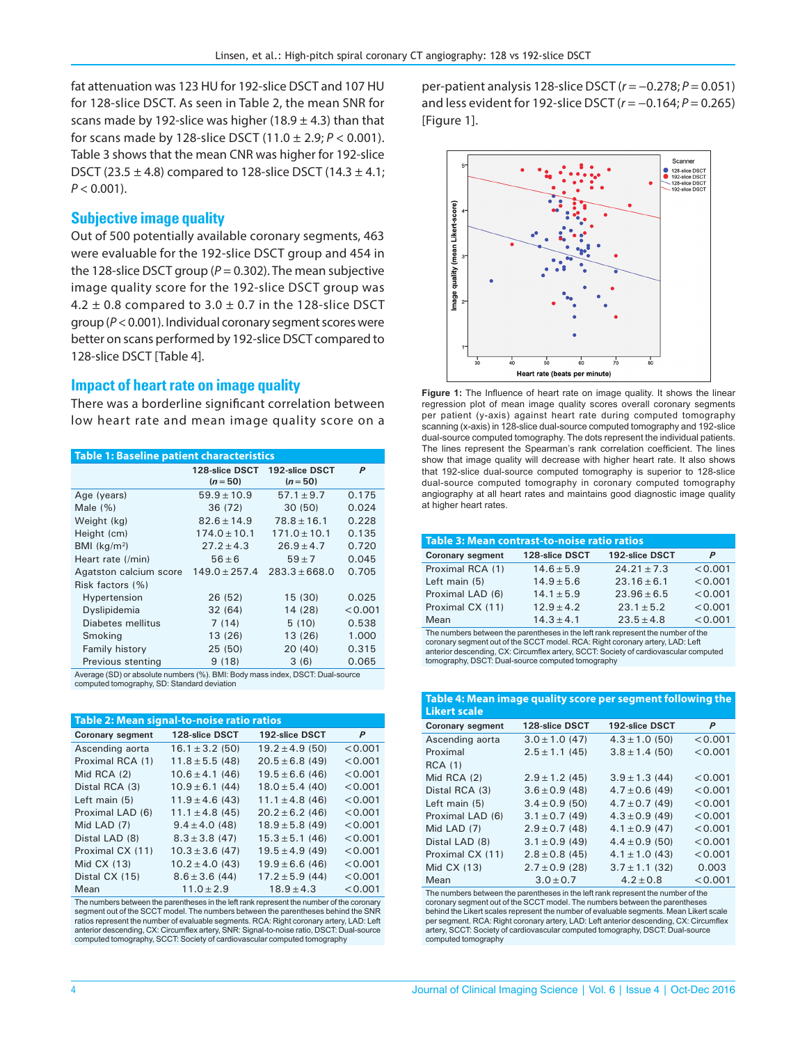fat attenuation was 123 HU for 192-slice DSCT and 107 HU for 128‑slice DSCT. As seen in Table 2, the mean SNR for scans made by 192-slice was higher (18.9  $\pm$  4.3) than that for scans made by 128-slice DSCT  $(11.0 \pm 2.9; P < 0.001)$ . Table 3 shows that the mean CNR was higher for 192-slice DSCT (23.5  $\pm$  4.8) compared to 128-slice DSCT (14.3  $\pm$  4.1;  $P < 0.001$ ).

#### **Subjective image quality**

Out of 500 potentially available coronary segments, 463 were evaluable for the 192‑slice DSCT group and 454 in the 128‑slice DSCT group (*P* = 0.302). The mean subjective image quality score for the 192‑slice DSCT group was 4.2  $\pm$  0.8 compared to 3.0  $\pm$  0.7 in the 128-slice DSCT group (*P* < 0.001). Individual coronary segment scores were better on scans performed by 192‑slice DSCT compared to 128-slice DSCT [Table 4].

#### **Impact of heart rate on image quality**

There was a borderline significant correlation between low heart rate and mean image quality score on a

| <b>Table 1: Baseline patient characteristics</b> |                              |                              |         |
|--------------------------------------------------|------------------------------|------------------------------|---------|
|                                                  | 128-slice DSCT<br>$(n = 50)$ | 192-slice DSCT<br>$(n = 50)$ | P       |
| Age (years)                                      | $59.9 \pm 10.9$              | $57.1 \pm 9.7$               | 0.175   |
| Male $(\% )$                                     | 36 (72)                      | 30(50)                       | 0.024   |
| Weight (kg)                                      | $82.6 \pm 14.9$              | $78.8 \pm 16.1$              | 0.228   |
| Height (cm)                                      | $174.0 \pm 10.1$             | $171.0 \pm 10.1$             | 0.135   |
| BMI $(kq/m2)$                                    | $27.2 \pm 4.3$               | $26.9 \pm 4.7$               | 0.720   |
| Heart rate (/min)                                | $56\pm 6$                    | $59 + 7$                     | 0.045   |
| Agatston calcium score                           | $149.0 \pm 257.4$            | $283.3 \pm 668.0$            | 0.705   |
| Risk factors (%)                                 |                              |                              |         |
| Hypertension                                     | 26 (52)                      | 15 (30)                      | 0.025   |
| Dyslipidemia                                     | 32(64)                       | 14 (28)                      | < 0.001 |
| Diabetes mellitus                                | 7(14)                        | 5(10)                        | 0.538   |
| Smoking                                          | 13 (26)                      | 13 (26)                      | 1.000   |
| Family history                                   | 25 (50)                      | 20 (40)                      | 0.315   |
| Previous stenting                                | 9(18)                        | 3(6)                         | 0.065   |
|                                                  |                              |                              |         |

Average (SD) or absolute numbers (%). BMI: Body mass index, DSCT: Dual‑source computed tomography, SD: Standard deviation

| Table 2: Mean signal-to-noise ratio ratios |                     |                     |         |
|--------------------------------------------|---------------------|---------------------|---------|
| <b>Coronary segment</b>                    | 128-slice DSCT      | 192-slice DSCT      | P       |
| Ascending aorta                            | $16.1 \pm 3.2$ (50) | $19.2 \pm 4.9$ (50) | < 0.001 |
| Proximal RCA (1)                           | $11.8 \pm 5.5$ (48) | $20.5 \pm 6.8$ (49) | < 0.001 |
| Mid RCA $(2)$                              | $10.6 \pm 4.1$ (46) | $19.5 \pm 6.6$ (46) | < 0.001 |
| Distal RCA (3)                             | $10.9 \pm 6.1$ (44) | $18.0 \pm 5.4$ (40) | < 0.001 |
| Left main $(5)$                            | $11.9 \pm 4.6$ (43) | $11.1 \pm 4.8$ (46) | < 0.001 |
| Proximal LAD (6)                           | $11.1 \pm 4.8$ (45) | $20.2 \pm 6.2$ (46) | < 0.001 |
| Mid LAD $(7)$                              | $9.4 \pm 4.0$ (48)  | $18.9 \pm 5.8$ (49) | < 0.001 |
| Distal LAD (8)                             | $8.3 \pm 3.8$ (47)  | $15.3 \pm 5.1$ (46) | < 0.001 |
| Proximal CX (11)                           | $10.3 \pm 3.6$ (47) | $19.5 \pm 4.9(49)$  | < 0.001 |
| Mid CX (13)                                | $10.2 \pm 4.0$ (43) | $19.9 \pm 6.6$ (46) | < 0.001 |
| Distal CX (15)                             | $8.6 \pm 3.6$ (44)  | $17.2 \pm 5.9$ (44) | < 0.001 |
| Mean                                       | $11.0 \pm 2.9$      | $18.9 \pm 4.3$      | < 0.001 |

The numbers between the parentheses in the left rank represent the number of the coronary segment out of the SCCT model. The numbers between the parentheses behind the SNR ratios represent the number of evaluable segments. RCA: Right coronary artery, LAD: Left anterior descending, CX: Circumflex artery, SNR: Signal-to-noise ratio, DSCT: Dual-source<br>computed tomography, SCCT: Society of cardiovascular computed tomography

per-patient analysis 128-slice DSCT ( $r = -0.278; P = 0.051$ ) and less evident for 192‑slice DSCT (*r* = −0.164; P = 0.265) [Figure 1].



**Figure 1:** The Influence of heart rate on image quality. It shows the linear regression plot of mean image quality scores overall coronary segments per patient (y‑axis) against heart rate during computed tomography scanning (x-axis) in 128-slice dual-source computed tomography and 192-slice dual-source computed tomography. The dots represent the individual patients. The lines represent the Spearman's rank correlation coefficient. The lines show that image quality will decrease with higher heart rate. It also shows that 192‑slice dual‑source computed tomography is superior to 128‑slice dual-source computed tomography in coronary computed tomography angiography at all heart rates and maintains good diagnostic image quality at higher heart rates.

| Table 3: Mean contrast-to-noise ratio ratios |                |                 |         |
|----------------------------------------------|----------------|-----------------|---------|
| <b>Coronary segment</b>                      | 128-slice DSCT | 192-slice DSCT  | P       |
| Proximal RCA (1)                             | $14.6 \pm 5.9$ | $24.21 \pm 7.3$ | < 0.001 |
| Left main (5)                                | $14.9 \pm 5.6$ | $23.16 \pm 6.1$ | < 0.001 |
| Proximal LAD (6)                             | $14.1 \pm 5.9$ | $23.96 \pm 6.5$ | < 0.001 |
| Proximal CX (11)                             | $12.9 \pm 4.2$ | $23.1 \pm 5.2$  | < 0.001 |
| Mean                                         | $14.3 \pm 4.1$ | $23.5 \pm 4.8$  | < 0.001 |

The numbers between the parentheses in the left rank represent the number of the coronary segment out of the SCCT model. RCA: Right coronary artery, LAD: Left anterior descending, CX: Circumflex artery, SCCT: Society of cardiovascular computed tomography, DSCT: Dual‑source computed tomography

| Table 4: Mean image quality score per segment following the<br><b>Likert scale</b> |                    |                    |         |
|------------------------------------------------------------------------------------|--------------------|--------------------|---------|
| <b>Coronary segment</b>                                                            | 128-slice DSCT     | 192-slice DSCT     | P       |
| Ascending aorta                                                                    | $3.0 \pm 1.0$ (47) | $4.3 \pm 1.0$ (50) | < 0.001 |
| Proximal                                                                           | $2.5 \pm 1.1$ (45) | $3.8 \pm 1.4$ (50) | < 0.001 |
| <b>RCA (1)</b>                                                                     |                    |                    |         |
| Mid RCA (2)                                                                        | $2.9 \pm 1.2$ (45) | $3.9 \pm 1.3$ (44) | < 0.001 |
| Distal RCA (3)                                                                     | $3.6 \pm 0.9$ (48) | $4.7 \pm 0.6$ (49) | < 0.001 |
| Left main $(5)$                                                                    | $3.4 \pm 0.9$ (50) | $4.7 \pm 0.7$ (49) | < 0.001 |
| Proximal LAD (6)                                                                   | $3.1 \pm 0.7$ (49) | $4.3 \pm 0.9$ (49) | < 0.001 |
| Mid LAD (7)                                                                        | $2.9 \pm 0.7$ (48) | $4.1 \pm 0.9$ (47) | < 0.001 |
| Distal LAD (8)                                                                     | $3.1 \pm 0.9$ (49) | $4.4 \pm 0.9$ (50) | < 0.001 |
| Proximal CX (11)                                                                   | $2.8 \pm 0.8$ (45) | $4.1 \pm 1.0$ (43) | < 0.001 |
| Mid CX (13)                                                                        | $2.7 \pm 0.9$ (28) | $3.7 \pm 1.1$ (32) | 0.003   |
| Mean                                                                               | $3.0 \pm 0.7$      | $4.2 \pm 0.8$      | < 0.001 |

The numbers between the parentheses in the left rank represent the number of the coronary segment out of the SCCT model. The numbers between the parenthese behind the Likert scales represent the number of evaluable segments. Mean Likert scale per segment. RCA: Right coronary artery, LAD: Left anterior descending, CX: Circumflex artery, SCCT: Society of cardiovascular computed tomography, DSCT: Dual‑source computed tomography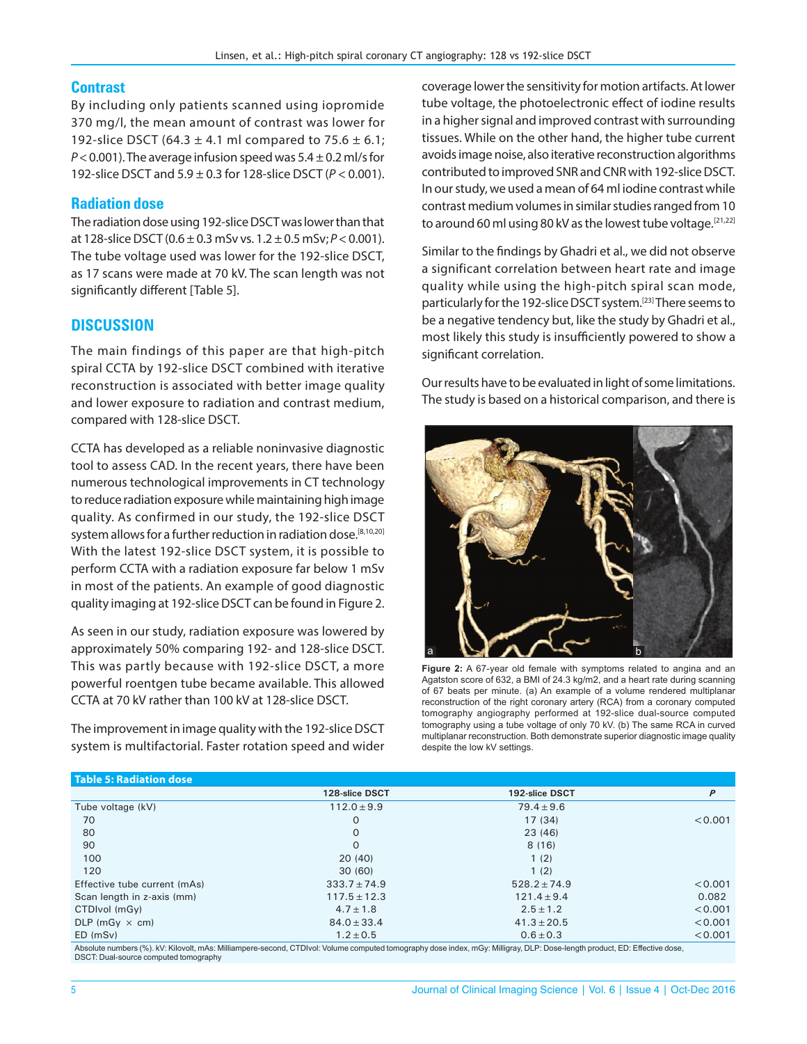#### **Contrast**

By including only patients scanned using iopromide 370 mg/l, the mean amount of contrast was lower for 192-slice DSCT (64.3  $\pm$  4.1 ml compared to 75.6  $\pm$  6.1; *P* < 0.001). The average infusion speed was 5.4 ± 0.2 ml/s for 192‑slice DSCT and 5.9 ± 0.3 for 128‑slice DSCT (*P* < 0.001).

## **Radiation dose**

The radiation dose using 192‑slice DSCT was lower than that at 128-slice DSCT ( $0.6 \pm 0.3$  mSv vs.  $1.2 \pm 0.5$  mSv;  $P < 0.001$ ). The tube voltage used was lower for the 192‑slice DSCT, as 17 scans were made at 70 kV. The scan length was not significantly different [Table 5].

## **DISCUSSION**

The main findings of this paper are that high-pitch spiral CCTA by 192-slice DSCT combined with iterative reconstruction is associated with better image quality and lower exposure to radiation and contrast medium, compared with 128‑slice DSCT.

CCTA has developed as a reliable noninvasive diagnostic tool to assess CAD. In the recent years, there have been numerous technological improvements in CT technology to reduce radiation exposure while maintaining high image quality. As confirmed in our study, the 192‑slice DSCT system allows for a further reduction in radiation dose.<sup>[8,10,20]</sup> With the latest 192-slice DSCT system, it is possible to perform CCTA with a radiation exposure far below 1 mSv in most of the patients. An example of good diagnostic quality imaging at 192‑slice DSCT can be found in Figure 2.

As seen in our study, radiation exposure was lowered by approximately 50% comparing 192‑ and 128‑slice DSCT. This was partly because with 192‑slice DSCT, a more powerful roentgen tube became available. This allowed CCTA at 70 kV rather than 100 kV at 128‑slice DSCT.

The improvement in image quality with the 192‑slice DSCT system is multifactorial. Faster rotation speed and wider

coverage lower the sensitivity for motion artifacts. At lower tube voltage, the photoelectronic effect of iodine results in a higher signal and improved contrast with surrounding tissues. While on the other hand, the higher tube current avoids image noise, also iterative reconstruction algorithms contributed to improved SNR and CNR with 192‑slice DSCT. In our study, we used a mean of 64 ml iodine contrast while contrast medium volumes in similar studies ranged from 10 to around 60 ml using 80 kV as the lowest tube voltage.<sup>[21,22]</sup>

Similar to the findings by Ghadri et al., we did not observe a significant correlation between heart rate and image quality while using the high‑pitch spiral scan mode, particularly for the 192-slice DSCT system.<sup>[23]</sup> There seems to be a negative tendency but, like the study by Ghadri et al., most likely this study is insufficiently powered to show a significant correlation.

Our results have to be evaluated in light of some limitations. The study is based on a historical comparison, and there is



**Figure 2:** A 67-year old female with symptoms related to angina and an Agatston score of 632, a BMI of 24.3 kg/m2, and a heart rate during scanning of 67 beats per minute. (a) An example of a volume rendered multiplanar reconstruction of the right coronary artery (RCA) from a coronary computed tomography angiography performed at 192-slice dual-source computed tomography using a tube voltage of only 70 kV. (b) The same RCA in curved multiplanar reconstruction. Both demonstrate superior diagnostic image quality despite the low kV settings.

| <b>Table 5: Radiation dose</b> |                  |                  |         |
|--------------------------------|------------------|------------------|---------|
|                                | 128-slice DSCT   | 192-slice DSCT   | P       |
| Tube voltage (kV)              | $112.0 \pm 9.9$  | $79.4 \pm 9.6$   |         |
| 70                             | O                | 17(34)           | < 0.001 |
| 80                             | 0                | 23(46)           |         |
| 90                             | O                | 8(16)            |         |
| 100                            | 20(40)           | 1(2)             |         |
| 120                            | 30(60)           | 1(2)             |         |
| Effective tube current (mAs)   | $333.7 \pm 74.9$ | $528.2 \pm 74.9$ | < 0.001 |
| Scan length in z-axis (mm)     | $117.5 \pm 12.3$ | $121.4 \pm 9.4$  | 0.082   |
| CTDIvol (mGy)                  | $4.7 \pm 1.8$    | $2.5 \pm 1.2$    | < 0.001 |
| DLP (mGy $\times$ cm)          | $84.0 \pm 33.4$  | $41.3 \pm 20.5$  | < 0.001 |
| ED (mSv)                       | $1.2 \pm 0.5$    | $0.6 \pm 0.3$    | < 0.001 |

Absolute numbers (%), kV: Kilovolt, mAs: Milliampere-second, CTDIvol: Volume computed tomography dose index, mGy: Milligray, DLP: Dose-length product, ED: Effective dose, DSCT: Dual-source computed tomography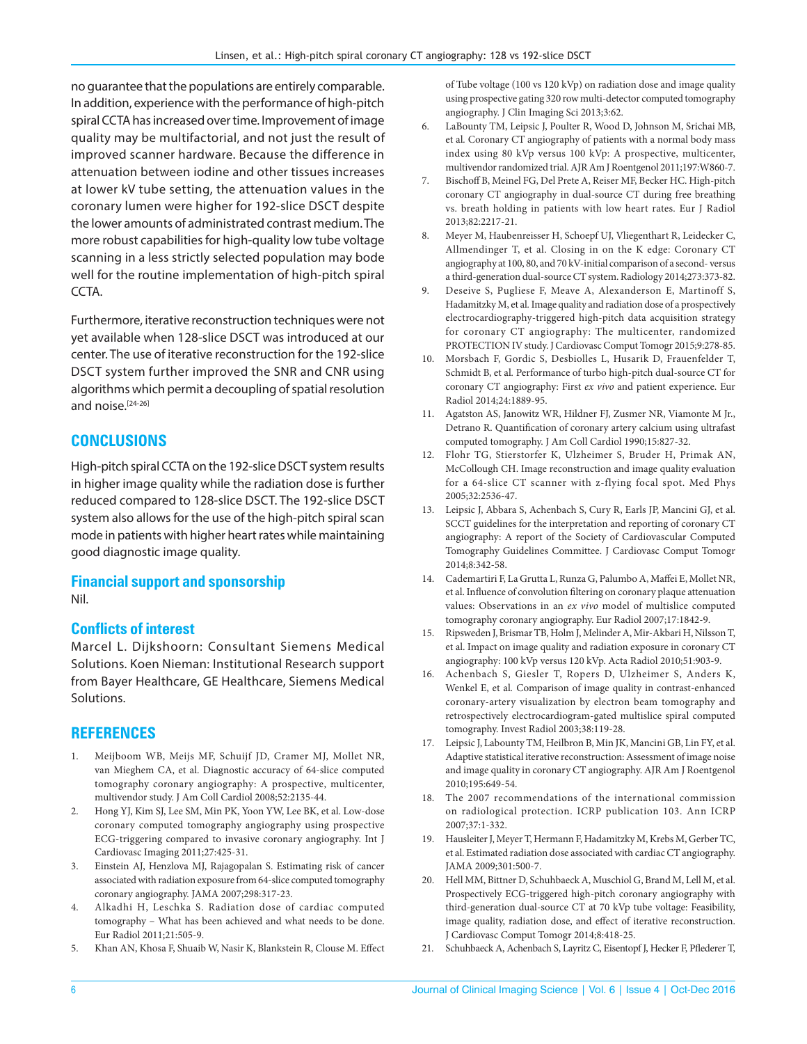no guarantee that the populations are entirely comparable. In addition, experience with the performance of high-pitch spiral CCTA has increased over time. Improvement of image quality may be multifactorial, and not just the result of improved scanner hardware. Because the difference in attenuation between iodine and other tissues increases at lower kV tube setting, the attenuation values in the coronary lumen were higher for 192‑slice DSCT despite the lower amounts of administrated contrast medium. The more robust capabilities for high-quality low tube voltage scanning in a less strictly selected population may bode well for the routine implementation of high-pitch spiral CCTA.

Furthermore, iterative reconstruction techniques were not yet available when 128‑slice DSCT was introduced at our center. The use of iterative reconstruction for the 192‑slice DSCT system further improved the SNR and CNR using algorithms which permit a decoupling of spatial resolution and noise.<sup>[24-26]</sup>

# **CONCLUSIONS**

High-pitch spiral CCTA on the 192-slice DSCT system results in higher image quality while the radiation dose is further reduced compared to 128‑slice DSCT. The 192‑slice DSCT system also allows for the use of the high-pitch spiral scan mode in patients with higher heart rates while maintaining good diagnostic image quality.

#### **Financial support and sponsorship** Nil.

#### **Conflicts of interest**

Marcel L. Dijkshoorn: Consultant Siemens Medical Solutions. Koen Nieman: Institutional Research support from Bayer Healthcare, GE Healthcare, Siemens Medical Solutions.

## **REFERENCES**

- 1. Meijboom WB, Meijs MF, Schuijf JD, Cramer MJ, Mollet NR, van Mieghem CA, et al. Diagnostic accuracy of 64‑slice computed tomography coronary angiography: A prospective, multicenter, multivendor study. J Am Coll Cardiol 2008;52:2135‑44.
- 2. Hong YJ, Kim SJ, Lee SM, Min PK, Yoon YW, Lee BK, et al. Low-dose coronary computed tomography angiography using prospective ECG‑triggering compared to invasive coronary angiography. Int J Cardiovasc Imaging 2011;27:425‑31.
- 3. Einstein AJ, Henzlova MJ, Rajagopalan S. Estimating risk of cancer associated with radiation exposure from 64-slice computed tomography coronary angiography. JAMA 2007;298:317‑23.
- 4. Alkadhi H, Leschka S. Radiation dose of cardiac computed tomography – What has been achieved and what needs to be done. Eur Radiol 2011;21:505‑9.
- 5. Khan AN, Khosa F, Shuaib W, Nasir K, Blankstein R, Clouse M. Effect

of Tube voltage (100 vs 120 kVp) on radiation dose and image quality using prospective gating 320 row multi‑detector computed tomography angiography. J Clin Imaging Sci 2013;3:62.

- 6. LaBounty TM, Leipsic J, Poulter R, Wood D, Johnson M, Srichai MB, et al*.* Coronary CT angiography of patients with a normal body mass index using 80 kVp versus 100 kVp: A prospective, multicenter, multivendor randomized trial. AJR Am J Roentgenol 2011;197:W860-7.
- 7. Bischoff B, Meinel FG, Del Prete A, Reiser MF, Becker HC. High-pitch coronary CT angiography in dual‑source CT during free breathing vs. breath holding in patients with low heart rates. Eur J Radiol 2013;82:2217‑21.
- 8. Meyer M, Haubenreisser H, Schoepf UJ, Vliegenthart R, Leidecker C, Allmendinger T, et al. Closing in on the K edge: Coronary CT angiography at 100, 80, and 70 kV-initial comparison of a second-versus a third-generation dual-source CT system. Radiology 2014;273:373-82.
- 9. Deseive S, Pugliese F, Meave A, Alexanderson E, Martinoff S, Hadamitzky M, et al*.* Image quality and radiation dose of a prospectively electrocardiography-triggered high-pitch data acquisition strategy for coronary CT angiography: The multicenter, randomized PROTECTION IV study. J Cardiovasc Comput Tomogr 2015;9:278-85.
- 10. Morsbach F, Gordic S, Desbiolles L, Husarik D, Frauenfelder T, Schmidt B, et al. Performance of turbo high-pitch dual-source CT for coronary CT angiography: First *ex vivo* and patient experience. Eur Radiol 2014;24:1889‑95.
- 11. Agatston AS, Janowitz WR, Hildner FJ, Zusmer NR, Viamonte M Jr., Detrano R. Quantification of coronary artery calcium using ultrafast computed tomography. J Am Coll Cardiol 1990;15:827‑32.
- 12. Flohr TG, Stierstorfer K, Ulzheimer S, Bruder H, Primak AN, McCollough CH. Image reconstruction and image quality evaluation for a 64‑slice CT scanner with z‑flying focal spot. Med Phys 2005;32:2536‑47.
- 13. Leipsic J, Abbara S, Achenbach S, Cury R, Earls JP, Mancini GJ, et al. SCCT guidelines for the interpretation and reporting of coronary CT angiography: A report of the Society of Cardiovascular Computed Tomography Guidelines Committee. J Cardiovasc Comput Tomogr 2014;8:342‑58.
- 14. Cademartiri F, La Grutta L, Runza G, Palumbo A, Maffei E, Mollet NR, et al.Influence of convolution filtering on coronary plaque attenuation values: Observations in an *ex vivo* model of multislice computed tomography coronary angiography. Eur Radiol 2007;17:1842‑9.
- 15. Ripsweden J, Brismar TB, Holm J, Melinder A, Mir-Akbari H, Nilsson T, et al. Impact on image quality and radiation exposure in coronary CT angiography: 100 kVp versus 120 kVp. Acta Radiol 2010;51:903‑9.
- 16. Achenbach S, Giesler T, Ropers D, Ulzheimer S, Anders K, Wenkel E, et al. Comparison of image quality in contrast-enhanced coronary‑artery visualization by electron beam tomography and retrospectively electrocardiogram‑gated multislice spiral computed tomography. Invest Radiol 2003;38:119‑28.
- 17. Leipsic J, Labounty TM, Heilbron B, Min JK, Mancini GB, Lin FY, et al. Adaptive statistical iterative reconstruction: Assessment of image noise and image quality in coronary CT angiography. AJR Am J Roentgenol 2010;195:649‑54.
- 18. The 2007 recommendations of the international commission on radiological protection. ICRP publication 103. Ann ICRP 2007;37:1‑332.
- 19. Hausleiter J, Meyer T, Hermann F, Hadamitzky M, Krebs M, Gerber TC, et al. Estimated radiation dose associated with cardiac CT angiography. JAMA 2009;301:500‑7.
- 20. Hell MM, Bittner D, Schuhbaeck A, Muschiol G, Brand M, Lell M, et al. Prospectively ECG-triggered high-pitch coronary angiography with third-generation dual-source CT at 70 kVp tube voltage: Feasibility, image quality, radiation dose, and effect of iterative reconstruction. J Cardiovasc Comput Tomogr 2014;8:418‑25.
- 21. Schuhbaeck A, Achenbach S, Layritz C, Eisentopf J, Hecker F, Pflederer T,